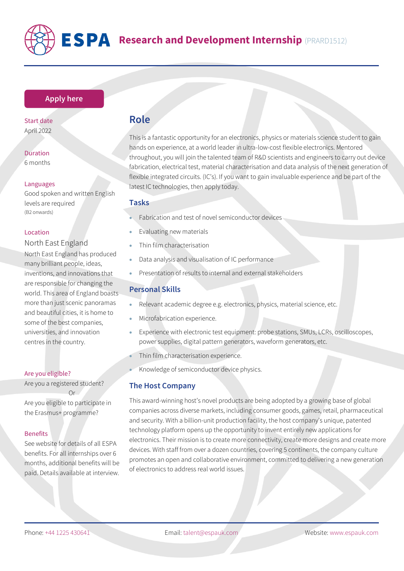

# **ESPA** Research and Development Internship (PRARD1512)

### **[Apply here](https://www.espauk.com/students/student-application/)**

Start date April 2022

Duration 6 months

#### Languages

Good spoken and written English levels are required (B2 onwards)

#### Location

# North East England

North East England has produced many brilliant people, ideas, inventions, and innovations that are responsible for changing the world. This area of England boasts more than just scenic panoramas and beautiful cities, it is home to some of the best companies, universities, and innovation centres in the country.

#### Are you eligible?

Are you a registered student? Or

Are you eligible to participate in the Erasmus+ programme?

#### Benefits

See website for details of all ESPA benefits. For all internships over 6 months, additional benefits will be paid. Details available at interview.

# **Role**

This is a fantastic opportunity for an electronics, physics or materials science student to gain hands on experience, at a world leader in ultra-low-cost flexible electronics. Mentored throughout, you will join the talented team of R&D scientists and engineers to carry out device fabrication, electrical test, material characterisation and data analysis of the next generation of flexible integrated circuits. (IC's). If you want to gain invaluable experience and be part of the latest IC technologies, then apply today.

#### **Tasks**

- Fabrication and test of novel semiconductor devices
- Evaluating new materials
- Thin film characterisation
- Data analysis and visualisation of IC performance
- Presentation of results to internal and external stakeholders

# **Personal Skills**

- Relevant academic degree e.g. electronics, physics, material science, etc.
- Microfabrication experience.
- Experience with electronic test equipment: probe stations, SMUs, LCRs, oscilloscopes, power supplies, digital pattern generators, waveform generators, etc.
- Thin film characterisation experience.
- Knowledge of semiconductor device physics.

## **The Host Company**

This award-winning host's novel products are being adopted by a growing base of global companies across diverse markets, including consumer goods, games, retail, pharmaceutical and security. With a billion-unit production facility, the host company's unique, patented technology platform opens up the opportunity to invent entirely new applications for electronics. Their mission is to create more connectivity, create more designs and create more devices. With staff from over a dozen countries, covering 5 continents, the company culture promotes an open and collaborative environment, committed to delivering a new generation of electronics to address real world issues.